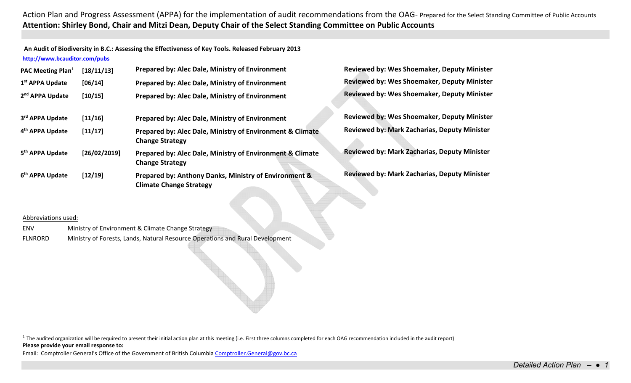**An Audit of Biodiversity in B.C.: Assessing the Effectiveness of Key Tools. Released February 2013 http://www.bcauditor.com/pubs**

| <b>PAC Meeting Plan</b> <sup>1</sup><br>1 <sup>st</sup> APPA Update | [18/11/13]<br>[06/14] | Prepared by: Alec Dale, Ministry of Environment<br>Prepared by: Alec Dale, Ministry of Environment                                     | <b>Reviewed by: Wes Shoemaker, Deputy Minister</b><br><b>Reviewed by: Wes Shoemaker, Deputy Minister</b>  |
|---------------------------------------------------------------------|-----------------------|----------------------------------------------------------------------------------------------------------------------------------------|-----------------------------------------------------------------------------------------------------------|
| 2 <sup>nd</sup> APPA Update                                         | [10/15]               | Prepared by: Alec Dale, Ministry of Environment                                                                                        | <b>Reviewed by: Wes Shoemaker, Deputy Minister</b>                                                        |
| 3rd APPA Update<br>4 <sup>th</sup> APPA Update                      | [11/16]<br>[11/17]    | Prepared by: Alec Dale, Ministry of Environment<br>Prepared by: Alec Dale, Ministry of Environment & Climate<br><b>Change Strategy</b> | <b>Reviewed by: Wes Shoemaker, Deputy Minister</b><br><b>Reviewed by: Mark Zacharias, Deputy Minister</b> |
| 5 <sup>th</sup> APPA Update                                         | [26/02/2019]          | Prepared by: Alec Dale, Ministry of Environment & Climate<br><b>Change Strategy</b>                                                    | <b>Reviewed by: Mark Zacharias, Deputy Minister</b>                                                       |
| 6 <sup>th</sup> APPA Update                                         | [12/19]               | Prepared by: Anthony Danks, Ministry of Environment &<br><b>Climate Change Strategy</b>                                                | <b>Reviewed by: Mark Zacharias, Deputy Minister</b>                                                       |

## Abbreviations used:

ENVMinistry of Environment & Climate Change Strategy

FLNRORDMinistry of Forests, Lands, Natural Resource Operations and Rural Development

**Please provide your email response to:** <sup>1</sup> The audited organization will be required to present their initial action plan at this meeting (i.e. First three columns completed for each OAG recommendation included in the audit report)

Email: Comptroller General's Office of the Government of British Columbia Comptroller.General@gov.bc.ca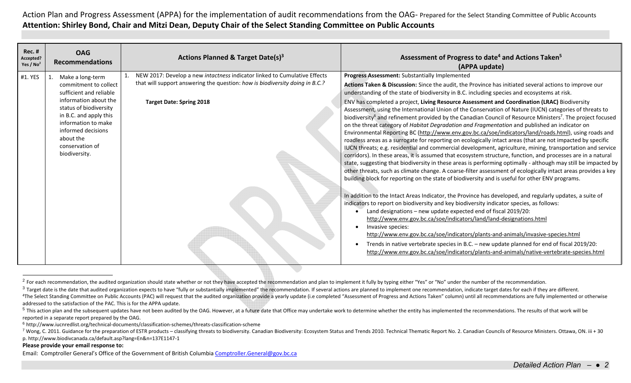| <b>Rec. #</b><br>Accepted?<br>Yes / $No2$ | <b>OAG</b><br><b>Recommendations</b>                                                                                                                                                                                                            | <b>Actions Planned &amp; Target Date(s)3</b>                                                                                                                                                 | Assessment of Progress to date <sup>4</sup> and Actions Taken <sup>5</sup><br>(APPA update)                                                                                                                                                                                                                                                                                                                                                                                                                                                                                                                                                                                                                                                                                                                                                                                                                                                                                                                                                                                                                                                                                                                                                                                                                                                                                                                                                                                                                                                                                                                                                                                                                                                                                                                                                                                                                                                                                                                                                                                                                                                                  |
|-------------------------------------------|-------------------------------------------------------------------------------------------------------------------------------------------------------------------------------------------------------------------------------------------------|----------------------------------------------------------------------------------------------------------------------------------------------------------------------------------------------|--------------------------------------------------------------------------------------------------------------------------------------------------------------------------------------------------------------------------------------------------------------------------------------------------------------------------------------------------------------------------------------------------------------------------------------------------------------------------------------------------------------------------------------------------------------------------------------------------------------------------------------------------------------------------------------------------------------------------------------------------------------------------------------------------------------------------------------------------------------------------------------------------------------------------------------------------------------------------------------------------------------------------------------------------------------------------------------------------------------------------------------------------------------------------------------------------------------------------------------------------------------------------------------------------------------------------------------------------------------------------------------------------------------------------------------------------------------------------------------------------------------------------------------------------------------------------------------------------------------------------------------------------------------------------------------------------------------------------------------------------------------------------------------------------------------------------------------------------------------------------------------------------------------------------------------------------------------------------------------------------------------------------------------------------------------------------------------------------------------------------------------------------------------|
| #1. YES                                   | Make a long-term<br>commitment to collect<br>sufficient and reliable<br>information about the<br>status of biodiversity<br>in B.C. and apply this<br>information to make<br>informed decisions<br>about the<br>conservation of<br>biodiversity. | NEW 2017: Develop a new intactness indicator linked to Cumulative Effects<br>that will support answering the question: how is biodiversity doing in B.C.?<br><b>Target Date: Spring 2018</b> | Progress Assessment: Substantially Implemented<br>Actions Taken & Discussion: Since the audit, the Province has initiated several actions to improve our<br>understanding of the state of biodiversity in B.C. including species and ecosystems at risk.<br>ENV has completed a project, Living Resource Assessment and Coordination (LRAC) Biodiversity<br>Assessment, using the International Union of the Conservation of Nature (IUCN) categories of threats to<br>biodiversity <sup>6</sup> and refinement provided by the Canadian Council of Resource Ministers <sup>7</sup> . The project focused<br>on the threat category of Habitat Degradation and Fragmentation and published an indicator on<br>Environmental Reporting BC (http://www.env.gov.bc.ca/soe/indicators/land/roads.html), using roads and<br>roadless areas as a surrogate for reporting on ecologically intact areas (that are not impacted by specific<br>IUCN threats; e.g. residential and commercial development, agriculture, mining, transportation and service<br>corridors). In these areas, it is assumed that ecosystem structure, function, and processes are in a natural<br>state, suggesting that biodiversity in these areas is performing optimally - although may still be impacted by<br>other threats, such as climate change. A coarse-filter assessment of ecologically intact areas provides a key<br>building block for reporting on the state of biodiversity and is useful for other ENV programs.<br>In addition to the Intact Areas Indicator, the Province has developed, and regularly updates, a suite of<br>indicators to report on biodiversity and key biodiversity indicator species, as follows:<br>Land designations - new update expected end of fiscal 2019/20:<br>http://www.env.gov.bc.ca/soe/indicators/land/land-designations.html<br>Invasive species:<br>http://www.env.gov.bc.ca/soe/indicators/plants-and-animals/invasive-species.html<br>Trends in native vertebrate species in B.C. - new update planned for end of fiscal 2019/20:<br>http://www.env.gov.bc.ca/soe/indicators/plants-and-animals/native-vertebrate-species.html |

<sup>&</sup>lt;sup>2</sup> For each recommendation, the audited organization should state whether or not they have accepted the recommendation and plan to implement it fully by typing either "Yes" or "No" under the number of the recommendation.

## **Please provide your email response to:**

 $3$  Target date is the date that audited organization expects to have "fully or substantially implemented" the recommendation. If several actions are planned to implement one recommendation, indicate target dates for each

<sup>&</sup>lt;sup>4</sup>The Select Standing Committee on Public Accounts (PAC) will request that the audited organization provide a yearly update (i.e completed "Assessment of Progress and Actions Taken" column) until all recommendations are f addressed to the satisfaction of the PAC. This is for the APPA update.

<sup>&</sup>lt;sup>5</sup> This action plan and the subsequent updates have not been audited by the OAG. However, at a future date that Office may undertake work to determine whether the entity has implemented the recommendations. The results of reported in <sup>a</sup> separate report prepared by the OAG.

 $^6$  http://www.iucnredlist.org/technical‐documents/classification‐schemes/threats‐classification‐scheme

<sup>&</sup>lt;sup>7</sup> Wong, C. 2011. Guidance for the preparation of ESTR products – classifying threats to biodiversity. Canadian Biodiversity: Ecosystem Status and Trends 2010. Technical Thematic Report No. 2. Canadian Councils of Resourc p. http://www.biodivcanada.ca/default.asp?lang=En&n=137E1147‐1

Email: Comptroller General's Office of the Government of British Columbia Comptroller.General@gov.bc.ca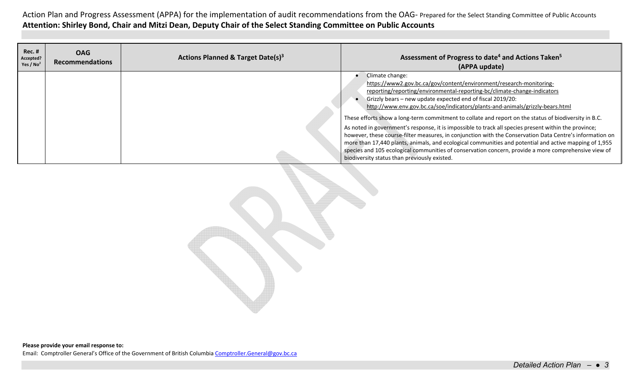| Rec. #<br>Accepted?<br>Yes / $No2$ | <b>OAG</b><br><b>Recommendations</b> | Actions Planned & Target Date(s) <sup>3</sup> | Assessment of Progress to date <sup>4</sup> and Actions Taken <sup>5</sup><br>(APPA update)                                                                                                                                                                                                                                                                                                                                                                                                                                                                                                                                                                                                                                                                                                                                                                                                                       |
|------------------------------------|--------------------------------------|-----------------------------------------------|-------------------------------------------------------------------------------------------------------------------------------------------------------------------------------------------------------------------------------------------------------------------------------------------------------------------------------------------------------------------------------------------------------------------------------------------------------------------------------------------------------------------------------------------------------------------------------------------------------------------------------------------------------------------------------------------------------------------------------------------------------------------------------------------------------------------------------------------------------------------------------------------------------------------|
|                                    |                                      |                                               | Climate change:<br>https://www2.gov.bc.ca/gov/content/environment/research-monitoring-<br>reporting/reporting/environmental-reporting-bc/climate-change-indicators<br>Grizzly bears - new update expected end of fiscal 2019/20:<br>http://www.env.gov.bc.ca/soe/indicators/plants-and-animals/grizzly-bears.html<br>These efforts show a long-term commitment to collate and report on the status of biodiversity in B.C.<br>As noted in government's response, it is impossible to track all species present within the province;<br>however, these course-filter measures, in conjunction with the Conservation Data Centre's information on<br>more than 17,440 plants, animals, and ecological communities and potential and active mapping of 1,955<br>species and 105 ecological communities of conservation concern, provide a more comprehensive view of<br>biodiversity status than previously existed. |

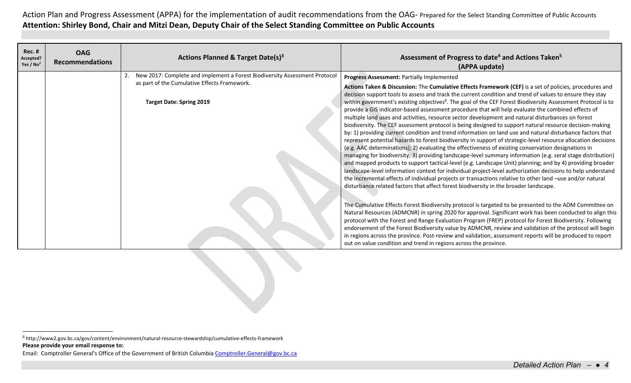| Actions Planned & Target Date(s) <sup>3</sup><br>Accepted?<br><b>Recommendations</b><br>Yes / $No2$                                                           | Assessment of Progress to date <sup>4</sup> and Actions Taken <sup>5</sup><br>(APPA update)                                                                                                                                                                                                                                                                                                                                                                                                                                                                                                                                                                                                                                                                                                                                                                                                                                                                                                                                                                                                                                                                                                                                                                                                                                                                                                                                                                                                                                                                                                                                                                                                                                                                                                                                                                                                                                                                                                                                                                                                                                                                                                                                                 |
|---------------------------------------------------------------------------------------------------------------------------------------------------------------|---------------------------------------------------------------------------------------------------------------------------------------------------------------------------------------------------------------------------------------------------------------------------------------------------------------------------------------------------------------------------------------------------------------------------------------------------------------------------------------------------------------------------------------------------------------------------------------------------------------------------------------------------------------------------------------------------------------------------------------------------------------------------------------------------------------------------------------------------------------------------------------------------------------------------------------------------------------------------------------------------------------------------------------------------------------------------------------------------------------------------------------------------------------------------------------------------------------------------------------------------------------------------------------------------------------------------------------------------------------------------------------------------------------------------------------------------------------------------------------------------------------------------------------------------------------------------------------------------------------------------------------------------------------------------------------------------------------------------------------------------------------------------------------------------------------------------------------------------------------------------------------------------------------------------------------------------------------------------------------------------------------------------------------------------------------------------------------------------------------------------------------------------------------------------------------------------------------------------------------------|
| New 2017: Complete and implement a Forest Biodiversity Assessment Protocol<br>as part of the Cumulative Effects Framework.<br><b>Target Date: Spring 2019</b> | Progress Assessment: Partially Implemented<br>Actions Taken & Discussion: The Cumulative Effects Framework (CEF) is a set of policies, procedures and<br>decision support tools to assess and track the current condition and trend of values to ensure they stay<br>within government's existing objectives <sup>8</sup> . The goal of the CEF Forest Biodiversity Assessment Protocol is to<br>provide a GIS indicator-based assessment procedure that will help evaluate the combined effects of<br>multiple land uses and activities, resource sector development and natural disturbances on forest<br>biodiversity. The CEF assessment protocol is being designed to support natural resource decision-making<br>by: 1) providing current condition and trend information on land use and natural disturbance factors that<br>represent potential hazards to forest biodiversity in support of strategic-level resource allocation decisions<br>(e.g. AAC determinations); 2) evaluating the effectiveness of existing conservation designations in<br>managing for biodiversity; 3) providing landscape-level summary information (e.g. seral stage distribution)<br>and mapped products to support tactical-level (e.g. Landscape Unit) planning; and by 4) providing broader<br>landscape-level information context for individual project-level authorization decisions to help understand<br>the incremental effects of individual projects or transactions relative to other land -use and/or natural<br>disturbance related factors that affect forest biodiversity in the broader landscape.<br>The Cumulative Effects Forest Biodiversity protocol is targeted to be presented to the ADM Committee on<br>Natural Resources (ADMCNR) in spring 2020 for approval. Significant work has been conducted to align this<br>protocol with the Forest and Range Evaluation Program (FREP) protocol for Forest Biodiversity. Following<br>endorsement of the Forest Biodiversity value by ADMCNR, review and validation of the protocol will begin<br>in regions across the province. Post-review and validation, assessment reports will be produced to report<br>out on value condition and trend in regions across the province. |

**Please provide your email response to:** 8 http://www2.gov.bc.ca/gov/content/environment/natural‐resource‐stewardship/cumulative‐effects‐framework

Email: Comptroller General's Office of the Government of British Columbia Comptroller.General@gov.bc.ca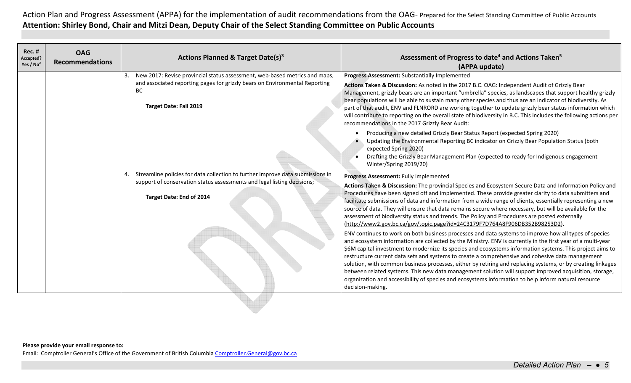| <b>Rec. #</b><br>Accepted?<br>Yes / $No2$ | <b>OAG</b><br><b>Recommendations</b> | Actions Planned & Target Date(s) <sup>3</sup>                                                                                                                                                                 | Assessment of Progress to date <sup>4</sup> and Actions Taken <sup>5</sup><br>(APPA update)                                                                                                                                                                                                                                                                                                                                                                                                                                                                                                                                                                                                                                                                                                                                                                                                                                                                                                                                                                                                                                                                                                                                                                                                                                                                                                                                                                                                   |
|-------------------------------------------|--------------------------------------|---------------------------------------------------------------------------------------------------------------------------------------------------------------------------------------------------------------|-----------------------------------------------------------------------------------------------------------------------------------------------------------------------------------------------------------------------------------------------------------------------------------------------------------------------------------------------------------------------------------------------------------------------------------------------------------------------------------------------------------------------------------------------------------------------------------------------------------------------------------------------------------------------------------------------------------------------------------------------------------------------------------------------------------------------------------------------------------------------------------------------------------------------------------------------------------------------------------------------------------------------------------------------------------------------------------------------------------------------------------------------------------------------------------------------------------------------------------------------------------------------------------------------------------------------------------------------------------------------------------------------------------------------------------------------------------------------------------------------|
|                                           |                                      | New 2017: Revise provincial status assessment, web-based metrics and maps,<br>3.<br>and associated reporting pages for grizzly bears on Environmental Reporting<br><b>BC</b><br><b>Target Date: Fall 2019</b> | Progress Assessment: Substantially Implemented<br>Actions Taken & Discussion: As noted in the 2017 B.C. OAG: Independent Audit of Grizzly Bear<br>Management, grizzly bears are an important "umbrella" species, as landscapes that support healthy grizzly<br>bear populations will be able to sustain many other species and thus are an indicator of biodiversity. As<br>part of that audit, ENV and FLNRORD are working together to update grizzly bear status information which<br>will contribute to reporting on the overall state of biodiversity in B.C. This includes the following actions per<br>recommendations in the 2017 Grizzly Bear Audit:<br>Producing a new detailed Grizzly Bear Status Report (expected Spring 2020)<br>Updating the Environmental Reporting BC indicator on Grizzly Bear Population Status (both<br>expected Spring 2020)<br>Drafting the Grizzly Bear Management Plan (expected to ready for Indigenous engagement                                                                                                                                                                                                                                                                                                                                                                                                                                                                                                                                    |
|                                           |                                      | Streamline policies for data collection to further improve data submissions in<br>4.<br>support of conservation status assessments and legal listing decisions;<br>Target Date: End of 2014                   | Winter/Spring 2019/20)<br>Progress Assessment: Fully Implemented<br>Actions Taken & Discussion: The provincial Species and Ecosystem Secure Data and Information Policy and<br>Procedures have been signed off and implemented. These provide greater clarity to data submitters and<br>facilitate submissions of data and information from a wide range of clients, essentially representing a new<br>source of data. They will ensure that data remains secure where necessary, but will be available for the<br>assessment of biodiversity status and trends. The Policy and Procedures are posted externally<br>(http://www2.gov.bc.ca/gov/topic.page?id=24C3179F7D764A8F906DB352B98253D2).<br>ENV continues to work on both business processes and data systems to improve how all types of species<br>and ecosystem information are collected by the Ministry. ENV is currently in the first year of a multi-year<br>\$6M capital investment to modernize its species and ecosystems information systems. This project aims to<br>restructure current data sets and systems to create a comprehensive and cohesive data management<br>solution, with common business processes, either by retiring and replacing systems, or by creating linkages<br>between related systems. This new data management solution will support improved acquisition, storage,<br>organization and accessibility of species and ecosystems information to help inform natural resource<br>decision-making. |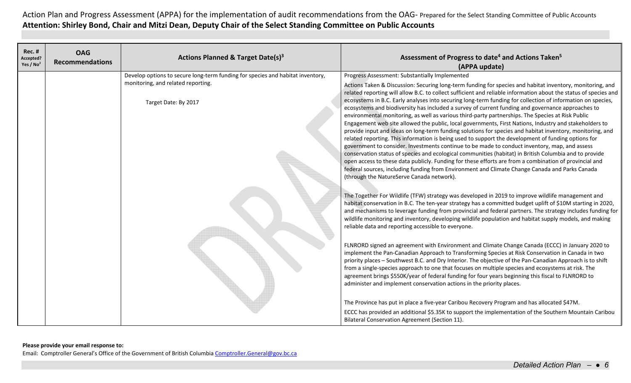| <b>Rec. #</b><br>Accepted?<br>Yes / $No2$ | <b>OAG</b><br><b>Recommendations</b> | Actions Planned & Target Date(s) <sup>3</sup>                                                                                                | Assessment of Progress to date <sup>4</sup> and Actions Taken <sup>5</sup><br>(APPA update)                                                                                                                                                                                                                                                                                                                                                                                                                                                                                                                                                                                                                                                                                                                                                                                                                                                                                                                                                                                                                                                                                                                                                                                                                                                                                                                |
|-------------------------------------------|--------------------------------------|----------------------------------------------------------------------------------------------------------------------------------------------|------------------------------------------------------------------------------------------------------------------------------------------------------------------------------------------------------------------------------------------------------------------------------------------------------------------------------------------------------------------------------------------------------------------------------------------------------------------------------------------------------------------------------------------------------------------------------------------------------------------------------------------------------------------------------------------------------------------------------------------------------------------------------------------------------------------------------------------------------------------------------------------------------------------------------------------------------------------------------------------------------------------------------------------------------------------------------------------------------------------------------------------------------------------------------------------------------------------------------------------------------------------------------------------------------------------------------------------------------------------------------------------------------------|
|                                           |                                      | Develop options to secure long-term funding for species and habitat inventory,<br>monitoring, and related reporting.<br>Target Date: By 2017 | Progress Assessment: Substantially Implemented<br>Actions Taken & Discussion: Securing long-term funding for species and habitat inventory, monitoring, and<br>related reporting will allow B.C. to collect sufficient and reliable information about the status of species and<br>ecosystems in B.C. Early analyses into securing long-term funding for collection of information on species,<br>ecosystems and biodiversity has included a survey of current funding and governance approaches to<br>environmental monitoring, as well as various third-party partnerships. The Species at Risk Public<br>Engagement web site allowed the public, local governments, First Nations, Industry and stakeholders to<br>provide input and ideas on long-term funding solutions for species and habitat inventory, monitoring, and<br>related reporting. This information is being used to support the development of funding options for<br>government to consider. Investments continue to be made to conduct inventory, map, and assess<br>conservation status of species and ecological communities (habitat) in British Columbia and to provide<br>open access to these data publicly. Funding for these efforts are from a combination of provincial and<br>federal sources, including funding from Environment and Climate Change Canada and Parks Canada<br>(through the NatureServe Canada network). |
|                                           |                                      |                                                                                                                                              | The Together For Wildlife (TFW) strategy was developed in 2019 to improve wildlife management and<br>habitat conservation in B.C. The ten-year strategy has a committed budget uplift of \$10M starting in 2020,<br>and mechanisms to leverage funding from provincial and federal partners. The strategy includes funding for<br>wildlife monitoring and inventory, developing wildlife population and habitat supply models, and making<br>reliable data and reporting accessible to everyone.                                                                                                                                                                                                                                                                                                                                                                                                                                                                                                                                                                                                                                                                                                                                                                                                                                                                                                           |
|                                           |                                      |                                                                                                                                              | FLNRORD signed an agreement with Environment and Climate Change Canada (ECCC) in January 2020 to<br>implement the Pan-Canadian Approach to Transforming Species at Risk Conservation in Canada in two<br>priority places - Southwest B.C. and Dry Interior. The objective of the Pan-Canadian Approach is to shift<br>from a single-species approach to one that focuses on multiple species and ecosystems at risk. The<br>agreement brings \$550K/year of federal funding for four years beginning this fiscal to FLNRORD to<br>administer and implement conservation actions in the priority places.                                                                                                                                                                                                                                                                                                                                                                                                                                                                                                                                                                                                                                                                                                                                                                                                    |
|                                           |                                      |                                                                                                                                              | The Province has put in place a five-year Caribou Recovery Program and has allocated \$47M.<br>ECCC has provided an additional \$5.35K to support the implementation of the Southern Mountain Caribou<br>Bilateral Conservation Agreement (Section 11).                                                                                                                                                                                                                                                                                                                                                                                                                                                                                                                                                                                                                                                                                                                                                                                                                                                                                                                                                                                                                                                                                                                                                    |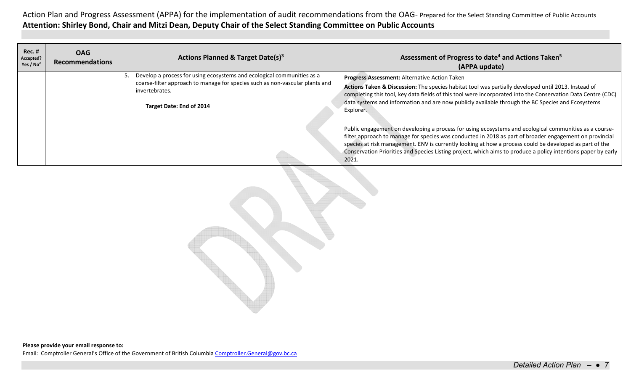| <b>Rec. #</b><br>Accepted?<br>Yes / $No2$ | <b>OAG</b><br><b>Recommendations</b> | Actions Planned & Target Date(s) <sup>3</sup>                                                                                                                                                        | Assessment of Progress to date <sup>4</sup> and Actions Taken <sup>5</sup><br>(APPA update)                                                                                                                                                                                                                                                                                                                                                            |
|-------------------------------------------|--------------------------------------|------------------------------------------------------------------------------------------------------------------------------------------------------------------------------------------------------|--------------------------------------------------------------------------------------------------------------------------------------------------------------------------------------------------------------------------------------------------------------------------------------------------------------------------------------------------------------------------------------------------------------------------------------------------------|
|                                           |                                      | Develop a process for using ecosystems and ecological communities as a<br>coarse-filter approach to manage for species such as non-vascular plants and<br>invertebrates.<br>Target Date: End of 2014 | Progress Assessment: Alternative Action Taken<br>Actions Taken & Discussion: The species habitat tool was partially developed until 2013. Instead of<br>completing this tool, key data fields of this tool were incorporated into the Conservation Data Centre (CDC)<br>data systems and information and are now publicly available through the BC Species and Ecosystems<br>Explorer.                                                                 |
|                                           |                                      |                                                                                                                                                                                                      | Public engagement on developing a process for using ecosystems and ecological communities as a course-<br>filter approach to manage for species was conducted in 2018 as part of broader engagement on provincial<br>species at risk management. ENV is currently looking at how a process could be developed as part of the<br>Conservation Priorities and Species Listing project, which aims to produce a policy intentions paper by early<br>2021. |

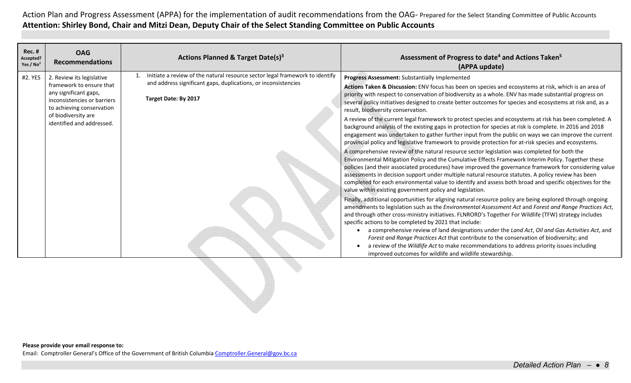| <b>Rec. #</b><br><b>OAG</b><br>Actions Planned & Target Date(s) <sup>3</sup><br>Accepted?<br><b>Recommendations</b><br>Yes / $No2$                                                                                                                                                                                                                                                     | Assessment of Progress to date <sup>4</sup> and Actions Taken <sup>5</sup><br>(APPA update)                                                                                                                                                                                                                                                                                                                                                                                                                                                                                                                                                                                                                                                                                                                                                                                                                                                                                                                                                                                                                                                                                                                                                                                                                                                                                                                                                                                                                                                                                                                                                                                                                                                                                                                                                                                                                                                                                                                                                                                                                                                                                                                    |
|----------------------------------------------------------------------------------------------------------------------------------------------------------------------------------------------------------------------------------------------------------------------------------------------------------------------------------------------------------------------------------------|----------------------------------------------------------------------------------------------------------------------------------------------------------------------------------------------------------------------------------------------------------------------------------------------------------------------------------------------------------------------------------------------------------------------------------------------------------------------------------------------------------------------------------------------------------------------------------------------------------------------------------------------------------------------------------------------------------------------------------------------------------------------------------------------------------------------------------------------------------------------------------------------------------------------------------------------------------------------------------------------------------------------------------------------------------------------------------------------------------------------------------------------------------------------------------------------------------------------------------------------------------------------------------------------------------------------------------------------------------------------------------------------------------------------------------------------------------------------------------------------------------------------------------------------------------------------------------------------------------------------------------------------------------------------------------------------------------------------------------------------------------------------------------------------------------------------------------------------------------------------------------------------------------------------------------------------------------------------------------------------------------------------------------------------------------------------------------------------------------------------------------------------------------------------------------------------------------------|
| 1. Initiate a review of the natural resource sector legal framework to identify<br>#2. YES<br>2. Review its legislative<br>and address significant gaps, duplications, or inconsistencies<br>framework to ensure that<br>any significant gaps,<br>Target Date: By 2017<br>inconsistencies or barriers<br>to achieving conservation<br>of biodiversity are<br>identified and addressed. | Progress Assessment: Substantially Implemented<br>Actions Taken & Discussion: ENV focus has been on species and ecosystems at risk, which is an area of<br>priority with respect to conservation of biodiversity as a whole. ENV has made substantial progress on<br>several policy initiatives designed to create better outcomes for species and ecosystems at risk and, as a<br>result, biodiversity conservation.<br>A review of the current legal framework to protect species and ecosystems at risk has been completed. A<br>background analysis of the existing gaps in protection for species at risk is complete. In 2016 and 2018<br>engagement was undertaken to gather further input from the public on ways we can improve the current<br>provincial policy and legislative framework to provide protection for at-risk species and ecosystems.<br>A comprehensive review of the natural resource sector legislation was completed for both the<br>Environmental Mitigation Policy and the Cumulative Effects Framework Interim Policy. Together these<br>policies (and their associated procedures) have improved the governance framework for considering value<br>assessments in decision support under multiple natural resource statutes. A policy review has been<br>completed for each environmental value to identify and assess both broad and specific objectives for the<br>value within existing government policy and legislation.<br>Finally, additional opportunities for aligning natural resource policy are being explored through ongoing<br>amendments to legislation such as the Environmental Assessment Act and Forest and Range Practices Act,<br>and through other cross-ministry initiatives. FLNRORD's Together For Wildlife (TFW) strategy includes<br>specific actions to be completed by 2021 that include:<br>a comprehensive review of land designations under the Land Act, Oil and Gas Activities Act, and<br>Forest and Range Practices Act that contribute to the conservation of biodiversity; and<br>a review of the Wildlife Act to make recommendations to address priority issues including<br>improved outcomes for wildlife and wildlife stewardship. |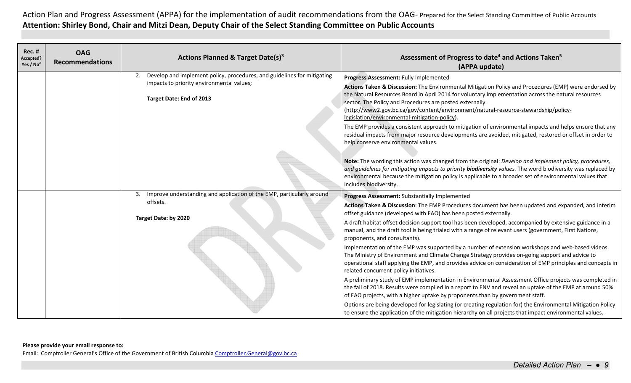| <b>Rec. #</b><br>Accepted?<br>Yes / $No2$ | <b>OAG</b><br><b>Recommendations</b> | <b>Actions Planned &amp; Target Date(s)3</b>                                                                                                        | Assessment of Progress to date <sup>4</sup> and Actions Taken <sup>5</sup><br>(APPA update)                                                                                                                                                                                                                                                                                                                                                                                                                                                                                                                                                                                                                                                                                                                                                                                                                                                                                                                                                                                                                                                                                                                                                                                                                                                                                     |
|-------------------------------------------|--------------------------------------|-----------------------------------------------------------------------------------------------------------------------------------------------------|---------------------------------------------------------------------------------------------------------------------------------------------------------------------------------------------------------------------------------------------------------------------------------------------------------------------------------------------------------------------------------------------------------------------------------------------------------------------------------------------------------------------------------------------------------------------------------------------------------------------------------------------------------------------------------------------------------------------------------------------------------------------------------------------------------------------------------------------------------------------------------------------------------------------------------------------------------------------------------------------------------------------------------------------------------------------------------------------------------------------------------------------------------------------------------------------------------------------------------------------------------------------------------------------------------------------------------------------------------------------------------|
|                                           |                                      | 2. Develop and implement policy, procedures, and guidelines for mitigating<br>impacts to priority environmental values;<br>Target Date: End of 2013 | Progress Assessment: Fully Implemented<br>Actions Taken & Discussion: The Environmental Mitigation Policy and Procedures (EMP) were endorsed by<br>the Natural Resources Board in April 2014 for voluntary implementation across the natural resources<br>sector. The Policy and Procedures are posted externally<br>(http://www2.gov.bc.ca/gov/content/environment/natural-resource-stewardship/policy-<br>legislation/environmental-mitigation-policy).<br>The EMP provides a consistent approach to mitigation of environmental impacts and helps ensure that any<br>residual impacts from major resource developments are avoided, mitigated, restored or offset in order to<br>help conserve environmental values.                                                                                                                                                                                                                                                                                                                                                                                                                                                                                                                                                                                                                                                         |
|                                           |                                      |                                                                                                                                                     | Note: The wording this action was changed from the original: Develop and implement policy, procedures,<br>and quidelines for mitigating impacts to priority <b>biodiversity</b> values. The word biodiversity was replaced by<br>environmental because the mitigation policy is applicable to a broader set of environmental values that<br>includes biodiversity.                                                                                                                                                                                                                                                                                                                                                                                                                                                                                                                                                                                                                                                                                                                                                                                                                                                                                                                                                                                                              |
|                                           |                                      | 3. Improve understanding and application of the EMP, particularly around<br>offsets.<br>Target Date: by 2020                                        | Progress Assessment: Substantially Implemented<br>Actions Taken & Discussion: The EMP Procedures document has been updated and expanded, and interim<br>offset guidance (developed with EAO) has been posted externally.<br>A draft habitat offset decision support tool has been developed, accompanied by extensive guidance in a<br>manual, and the draft tool is being trialed with a range of relevant users (government, First Nations,<br>proponents, and consultants).<br>Implementation of the EMP was supported by a number of extension workshops and web-based videos.<br>The Ministry of Environment and Climate Change Strategy provides on-going support and advice to<br>operational staff applying the EMP, and provides advice on consideration of EMP principles and concepts in<br>related concurrent policy initiatives.<br>A preliminary study of EMP implementation in Environmental Assessment Office projects was completed in<br>the fall of 2018. Results were compiled in a report to ENV and reveal an uptake of the EMP at around 50%<br>of EAO projects, with a higher uptake by proponents than by government staff.<br>Options are being developed for legislating (or creating regulation for) the Environmental Mitigation Policy<br>to ensure the application of the mitigation hierarchy on all projects that impact environmental values. |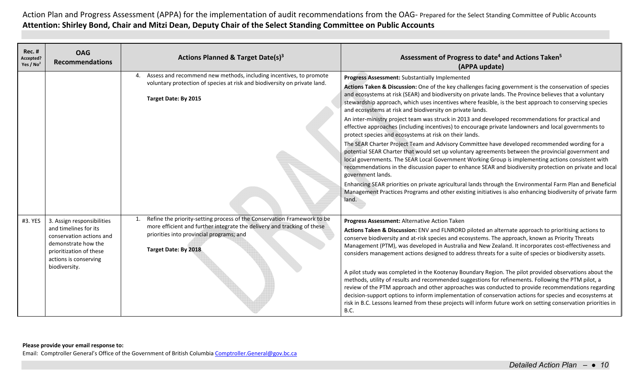| <b>Rec. #</b><br>Accepted?<br>Yes / $No2$ | <b>OAG</b><br><b>Recommendations</b>                                                                                                                                        | Actions Planned & Target Date(s) <sup>3</sup>                                                                                                                                                                          | Assessment of Progress to date <sup>4</sup> and Actions Taken <sup>5</sup><br>(APPA update)                                                                                                                                                                                                                                                                                                                                                                                                                                                                                                                                                                                                                                                                                                                                                                                                                                                                                                                                                                                                                                                                                                                                                                                                                                                                                                            |
|-------------------------------------------|-----------------------------------------------------------------------------------------------------------------------------------------------------------------------------|------------------------------------------------------------------------------------------------------------------------------------------------------------------------------------------------------------------------|--------------------------------------------------------------------------------------------------------------------------------------------------------------------------------------------------------------------------------------------------------------------------------------------------------------------------------------------------------------------------------------------------------------------------------------------------------------------------------------------------------------------------------------------------------------------------------------------------------------------------------------------------------------------------------------------------------------------------------------------------------------------------------------------------------------------------------------------------------------------------------------------------------------------------------------------------------------------------------------------------------------------------------------------------------------------------------------------------------------------------------------------------------------------------------------------------------------------------------------------------------------------------------------------------------------------------------------------------------------------------------------------------------|
|                                           |                                                                                                                                                                             | 4. Assess and recommend new methods, including incentives, to promote<br>voluntary protection of species at risk and biodiversity on private land.<br>Target Date: By 2015                                             | Progress Assessment: Substantially Implemented<br>Actions Taken & Discussion: One of the key challenges facing government is the conservation of species<br>and ecosystems at risk (SEAR) and biodiversity on private lands. The Province believes that a voluntary<br>stewardship approach, which uses incentives where feasible, is the best approach to conserving species<br>and ecosystems at risk and biodiversity on private lands.<br>An inter-ministry project team was struck in 2013 and developed recommendations for practical and<br>effective approaches (including incentives) to encourage private landowners and local governments to<br>protect species and ecosystems at risk on their lands.<br>The SEAR Charter Project Team and Advisory Committee have developed recommended wording for a<br>potential SEAR Charter that would set up voluntary agreements between the provincial government and<br>local governments. The SEAR Local Government Working Group is implementing actions consistent with<br>recommendations in the discussion paper to enhance SEAR and biodiversity protection on private and local<br>government lands.<br>Enhancing SEAR priorities on private agricultural lands through the Environmental Farm Plan and Beneficial<br>Management Practices Programs and other existing initiatives is also enhancing biodiversity of private farm<br>land. |
| #3. YES                                   | 3. Assign responsibilities<br>and timelines for its<br>conservation actions and<br>demonstrate how the<br>prioritization of these<br>actions is conserving<br>biodiversity. | Refine the priority-setting process of the Conservation Framework to be<br>more efficient and further integrate the delivery and tracking of these<br>priorities into provincial programs; and<br>Target Date: By 2018 | Progress Assessment: Alternative Action Taken<br>Actions Taken & Discussion: ENV and FLNRORD piloted an alternate approach to prioritising actions to<br>conserve biodiversity and at-risk species and ecosystems. The approach, known as Priority Threats<br>Management (PTM), was developed in Australia and New Zealand. It incorporates cost-effectiveness and<br>considers management actions designed to address threats for a suite of species or biodiversity assets.<br>A pilot study was completed in the Kootenay Boundary Region. The pilot provided observations about the<br>methods, utility of results and recommended suggestions for refinements. Following the PTM pilot, a<br>review of the PTM approach and other approaches was conducted to provide recommendations regarding<br>decision-support options to inform implementation of conservation actions for species and ecosystems at<br>risk in B.C. Lessons learned from these projects will inform future work on setting conservation priorities in<br>B.C.                                                                                                                                                                                                                                                                                                                                                              |

Email: Comptroller General's Office of the Government of British Columbia Comptroller.General@gov.bc.ca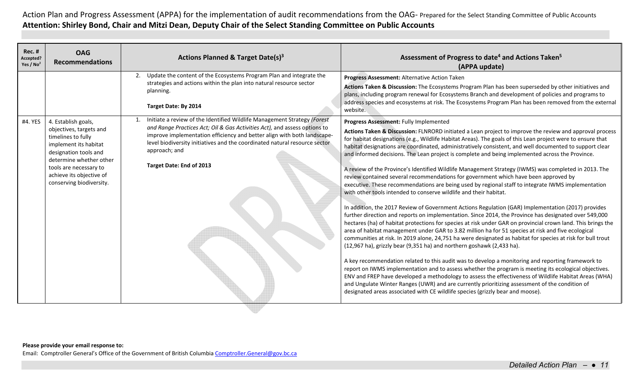| <b>Rec. #</b><br><b>OAG</b><br>Accepted?<br><b>Recommendations</b><br>Yes / $No2$                                                                                                                                                              | <b>Actions Planned &amp; Target Date(s)3</b>                                                                                                                                                                                                                                                                                                                | Assessment of Progress to date <sup>4</sup> and Actions Taken <sup>5</sup><br>(APPA update)                                                                                                                                                                                                                                                                                                                                                                                                                                                                                                                                                                                                                                                                                                                                                                                                                                                                                                                                                                                                                                                                                                                                                                                                                                                                                                                                                                                                                                                                                                                                                                                                                                                                                                                                                                                                                                                                                                      |
|------------------------------------------------------------------------------------------------------------------------------------------------------------------------------------------------------------------------------------------------|-------------------------------------------------------------------------------------------------------------------------------------------------------------------------------------------------------------------------------------------------------------------------------------------------------------------------------------------------------------|--------------------------------------------------------------------------------------------------------------------------------------------------------------------------------------------------------------------------------------------------------------------------------------------------------------------------------------------------------------------------------------------------------------------------------------------------------------------------------------------------------------------------------------------------------------------------------------------------------------------------------------------------------------------------------------------------------------------------------------------------------------------------------------------------------------------------------------------------------------------------------------------------------------------------------------------------------------------------------------------------------------------------------------------------------------------------------------------------------------------------------------------------------------------------------------------------------------------------------------------------------------------------------------------------------------------------------------------------------------------------------------------------------------------------------------------------------------------------------------------------------------------------------------------------------------------------------------------------------------------------------------------------------------------------------------------------------------------------------------------------------------------------------------------------------------------------------------------------------------------------------------------------------------------------------------------------------------------------------------------------|
|                                                                                                                                                                                                                                                | 2. Update the content of the Ecosystems Program Plan and integrate the<br>strategies and actions within the plan into natural resource sector<br>planning.<br>Target Date: By 2014                                                                                                                                                                          | Progress Assessment: Alternative Action Taken<br>Actions Taken & Discussion: The Ecosystems Program Plan has been superseded by other initiatives and<br>plans, including program renewal for Ecosystems Branch and development of policies and programs to<br>address species and ecosystems at risk. The Ecosystems Program Plan has been removed from the external<br>website.                                                                                                                                                                                                                                                                                                                                                                                                                                                                                                                                                                                                                                                                                                                                                                                                                                                                                                                                                                                                                                                                                                                                                                                                                                                                                                                                                                                                                                                                                                                                                                                                                |
| #4. YES<br>4. Establish goals,<br>objectives, targets and<br>timelines to fully<br>implement its habitat<br>designation tools and<br>determine whether other<br>tools are necessary to<br>achieve its objective of<br>conserving biodiversity. | Initiate a review of the Identified Wildlife Management Strategy (Forest<br>and Range Practices Act; Oil & Gas Activities Act), and assess options to<br>improve implementation efficiency and better align with both landscape-<br>level biodiversity initiatives and the coordinated natural resource sector<br>approach; and<br>Target Date: End of 2013 | Progress Assessment: Fully Implemented<br>Actions Taken & Discussion: FLNRORD initiated a Lean project to improve the review and approval process<br>for habitat designations (e.g., Wildlife Habitat Areas). The goals of this Lean project were to ensure that<br>habitat designations are coordinated, administratively consistent, and well documented to support clear<br>and informed decisions. The Lean project is complete and being implemented across the Province.<br>A review of the Province's Identified Wildlife Management Strategy (IWMS) was completed in 2013. The<br>review contained several recommendations for government which have been approved by<br>executive. These recommendations are being used by regional staff to integrate IWMS implementation<br>with other tools intended to conserve wildlife and their habitat.<br>In addition, the 2017 Review of Government Actions Regulation (GAR) Implementation (2017) provides<br>further direction and reports on implementation. Since 2014, the Province has designated over 549,000<br>hectares (ha) of habitat protections for species at risk under GAR on provincial crown land. This brings the<br>area of habitat management under GAR to 3.82 million ha for 51 species at risk and five ecological<br>communities at risk. In 2019 alone, 24,751 ha were designated as habitat for species at risk for bull trout<br>(12,967 ha), grizzly bear (9,351 ha) and northern goshawk (2,433 ha).<br>A key recommendation related to this audit was to develop a monitoring and reporting framework to<br>report on IWMS implementation and to assess whether the program is meeting its ecological objectives.<br>ENV and FREP have developed a methodology to assess the effectiveness of Wildlife Habitat Areas (WHA)<br>and Ungulate Winter Ranges (UWR) and are currently prioritizing assessment of the condition of<br>designated areas associated with CE wildlife species (grizzly bear and moose). |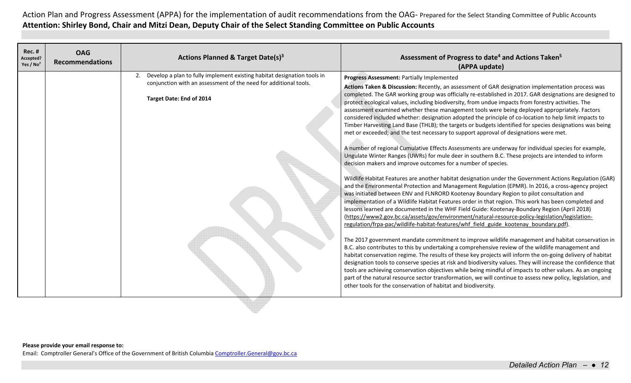| <b>Rec. #</b><br>Accepted?<br>Yes / $No2$ | <b>OAG</b><br><b>Recommendations</b> | Actions Planned & Target Date(s) <sup>3</sup>                                                                                                                              | Assessment of Progress to date <sup>4</sup> and Actions Taken <sup>5</sup><br>(APPA update)                                                                                                                                                                                                                                                                                                                                                                                                                                                                                                                                                                                                                                                                                                                                                                                                                                                                                                                                                                                                                                                                                                                                                                                                                                                                                                                                                                                                                                                                                                                                                                                                                                                                                                                                                                                                                                                                                                                                                                                                                                                                                                                                                                                                                                                                                                                                                                                                                                |
|-------------------------------------------|--------------------------------------|----------------------------------------------------------------------------------------------------------------------------------------------------------------------------|----------------------------------------------------------------------------------------------------------------------------------------------------------------------------------------------------------------------------------------------------------------------------------------------------------------------------------------------------------------------------------------------------------------------------------------------------------------------------------------------------------------------------------------------------------------------------------------------------------------------------------------------------------------------------------------------------------------------------------------------------------------------------------------------------------------------------------------------------------------------------------------------------------------------------------------------------------------------------------------------------------------------------------------------------------------------------------------------------------------------------------------------------------------------------------------------------------------------------------------------------------------------------------------------------------------------------------------------------------------------------------------------------------------------------------------------------------------------------------------------------------------------------------------------------------------------------------------------------------------------------------------------------------------------------------------------------------------------------------------------------------------------------------------------------------------------------------------------------------------------------------------------------------------------------------------------------------------------------------------------------------------------------------------------------------------------------------------------------------------------------------------------------------------------------------------------------------------------------------------------------------------------------------------------------------------------------------------------------------------------------------------------------------------------------------------------------------------------------------------------------------------------------|
|                                           |                                      | 2. Develop a plan to fully implement existing habitat designation tools in<br>conjunction with an assessment of the need for additional tools.<br>Target Date: End of 2014 | Progress Assessment: Partially Implemented<br>Actions Taken & Discussion: Recently, an assessment of GAR designation implementation process was<br>completed. The GAR working group was officially re-established in 2017. GAR designations are designed to<br>protect ecological values, including biodiversity, from undue impacts from forestry activities. The<br>assessment examined whether these management tools were being deployed appropriately. Factors<br>considered included whether: designation adopted the principle of co-location to help limit impacts to<br>Timber Harvesting Land Base (THLB); the targets or budgets identified for species designations was being<br>met or exceeded; and the test necessary to support approval of designations were met.<br>A number of regional Cumulative Effects Assessments are underway for individual species for example,<br>Ungulate Winter Ranges (UWRs) for mule deer in southern B.C. These projects are intended to inform<br>decision makers and improve outcomes for a number of species.<br>Wildlife Habitat Features are another habitat designation under the Government Actions Regulation (GAR)<br>and the Environmental Protection and Management Regulation (EPMR). In 2016, a cross-agency project<br>was initiated between ENV and FLNRORD Kootenay Boundary Region to pilot consultation and<br>implementation of a Wildlife Habitat Features order in that region. This work has been completed and<br>lessons learned are documented in the WHF Field Guide: Kootenay-Boundary Region (April 2018)<br>(https://www2.gov.bc.ca/assets/gov/environment/natural-resource-policy-legislation/legislation-<br>regulation/frpa-pac/wildlife-habitat-features/whf field guide kootenay boundary.pdf).<br>The 2017 government mandate commitment to improve wildlife management and habitat conservation in<br>B.C. also contributes to this by undertaking a comprehensive review of the wildlife management and<br>habitat conservation regime. The results of these key projects will inform the on-going delivery of habitat<br>designation tools to conserve species at risk and biodiversity values. They will increase the confidence that<br>tools are achieving conservation objectives while being mindful of impacts to other values. As an ongoing<br>part of the natural resource sector transformation, we will continue to assess new policy, legislation, and<br>other tools for the conservation of habitat and biodiversity. |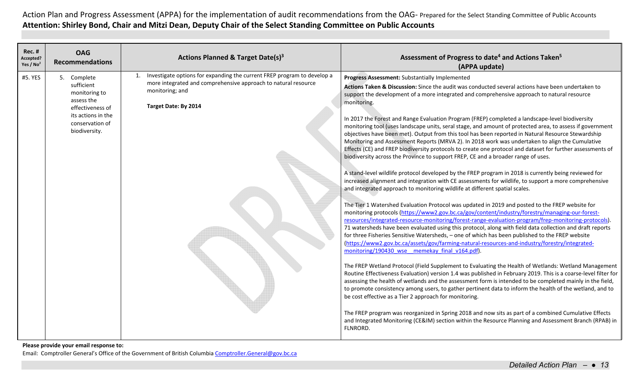| <b>Rec. #</b><br>Accepted?<br>Yes / $No2$ | <b>OAG</b><br><b>Recommendations</b>                                                                                                   | <b>Actions Planned &amp; Target Date(s)3</b>                                                                                                                                         | Assessment of Progress to date <sup>4</sup> and Actions Taken <sup>5</sup><br>(APPA update)                                                                                                                                                                                                                                                                                                                                                                                                                                                                                                                                                                                                                                                                                                                                                                                                                                                                                                                                                                                                                                                                                                                                                                                                                                                                                                                                                                                                                                                                                                                                                                                                                                                                                                                                                                                                                                                                                                                                                                                                                                                                                                                                                                                                                                                                                                                                                                                                                                                                                                                       |
|-------------------------------------------|----------------------------------------------------------------------------------------------------------------------------------------|--------------------------------------------------------------------------------------------------------------------------------------------------------------------------------------|-------------------------------------------------------------------------------------------------------------------------------------------------------------------------------------------------------------------------------------------------------------------------------------------------------------------------------------------------------------------------------------------------------------------------------------------------------------------------------------------------------------------------------------------------------------------------------------------------------------------------------------------------------------------------------------------------------------------------------------------------------------------------------------------------------------------------------------------------------------------------------------------------------------------------------------------------------------------------------------------------------------------------------------------------------------------------------------------------------------------------------------------------------------------------------------------------------------------------------------------------------------------------------------------------------------------------------------------------------------------------------------------------------------------------------------------------------------------------------------------------------------------------------------------------------------------------------------------------------------------------------------------------------------------------------------------------------------------------------------------------------------------------------------------------------------------------------------------------------------------------------------------------------------------------------------------------------------------------------------------------------------------------------------------------------------------------------------------------------------------------------------------------------------------------------------------------------------------------------------------------------------------------------------------------------------------------------------------------------------------------------------------------------------------------------------------------------------------------------------------------------------------------------------------------------------------------------------------------------------------|
| #5. YES                                   | 5. Complete<br>sufficient<br>monitoring to<br>assess the<br>effectiveness of<br>its actions in the<br>conservation of<br>biodiversity. | Investigate options for expanding the current FREP program to develop a<br>more integrated and comprehensive approach to natural resource<br>monitoring; and<br>Target Date: By 2014 | Progress Assessment: Substantially Implemented<br>Actions Taken & Discussion: Since the audit was conducted several actions have been undertaken to<br>support the development of a more integrated and comprehensive approach to natural resource<br>monitoring.<br>In 2017 the Forest and Range Evaluation Program (FREP) completed a landscape-level biodiversity<br>monitoring tool (uses landscape units, seral stage, and amount of protected area, to assess if government<br>objectives have been met). Output from this tool has been reported in Natural Resource Stewardship<br>Monitoring and Assessment Reports (MRVA 2). In 2018 work was undertaken to align the Cumulative<br>Effects (CE) and FREP biodiversity protocols to create one protocol and dataset for further assessments of<br>biodiversity across the Province to support FREP, CE and a broader range of uses.<br>A stand-level wildlife protocol developed by the FREP program in 2018 is currently being reviewed for<br>increased alignment and integration with CE assessments for wildlife, to support a more comprehensive<br>and integrated approach to monitoring wildlife at different spatial scales.<br>The Tier 1 Watershed Evaluation Protocol was updated in 2019 and posted to the FREP website for<br>monitoring protocols (https://www2.gov.bc.ca/gov/content/industry/forestry/managing-our-forest-<br>resources/integrated-resource-monitoring/forest-range-evaluation-program/frep-monitoring-protocols).<br>71 watersheds have been evaluated using this protocol, along with field data collection and draft reports<br>for three Fisheries Sensitive Watersheds, - one of which has been published to the FREP website<br>(https://www2.gov.bc.ca/assets/gov/farming-natural-resources-and-industry/forestry/integrated-<br>monitoring/190430 wse memekay final v164.pdf).<br>The FREP Wetland Protocol (Field Supplement to Evaluating the Health of Wetlands: Wetland Management<br>Routine Effectiveness Evaluation) version 1.4 was published in February 2019. This is a coarse-level filter for<br>assessing the health of wetlands and the assessment form is intended to be completed mainly in the field,<br>to promote consistency among users, to gather pertinent data to inform the health of the wetland, and to<br>be cost effective as a Tier 2 approach for monitoring.<br>The FREP program was reorganized in Spring 2018 and now sits as part of a combined Cumulative Effects<br>and Integrated Monitoring (CE&IM) section within the Resource Planning and Assessment Branch (RPAB) in |
|                                           |                                                                                                                                        |                                                                                                                                                                                      | FLNRORD.                                                                                                                                                                                                                                                                                                                                                                                                                                                                                                                                                                                                                                                                                                                                                                                                                                                                                                                                                                                                                                                                                                                                                                                                                                                                                                                                                                                                                                                                                                                                                                                                                                                                                                                                                                                                                                                                                                                                                                                                                                                                                                                                                                                                                                                                                                                                                                                                                                                                                                                                                                                                          |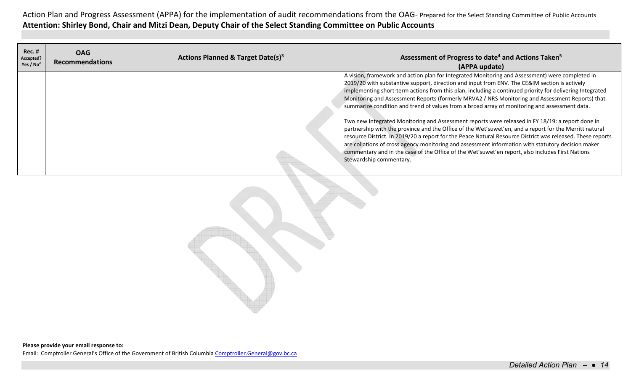| <b>Rec. #</b><br>Accepted?<br>Yes / $No2$ | <b>OAG</b><br><b>Recommendations</b> | <b>Actions Planned &amp; Target Date(s)3</b> | Assessment of Progress to date <sup>4</sup> and Actions Taken <sup>5</sup><br>(APPA update)                                                                                                                                                                                                                                                                                                                                                                                                                                                                                                                                                                                                                                                                                                                                                                                                                                                                                                                                                                                       |
|-------------------------------------------|--------------------------------------|----------------------------------------------|-----------------------------------------------------------------------------------------------------------------------------------------------------------------------------------------------------------------------------------------------------------------------------------------------------------------------------------------------------------------------------------------------------------------------------------------------------------------------------------------------------------------------------------------------------------------------------------------------------------------------------------------------------------------------------------------------------------------------------------------------------------------------------------------------------------------------------------------------------------------------------------------------------------------------------------------------------------------------------------------------------------------------------------------------------------------------------------|
|                                           |                                      |                                              | A vision, framework and action plan for Integrated Monitoring and Assessment) were completed in<br>2019/20 with substantive support, direction and input from ENV. The CE&IM section is actively<br>implementing short-term actions from this plan, including a continued priority for delivering Integrated<br>Monitoring and Assessment Reports (formerly MRVA2 / NRS Monitoring and Assessment Reports) that<br>summarize condition and trend of values from a broad array of monitoring and assessment data.<br>Two new Integrated Monitoring and Assessment reports were released in FY 18/19: a report done in<br>partnership with the province and the Office of the Wet'suwet'en, and a report for the Merritt natural<br>resource District. In 2019/20 a report for the Peace Natural Resource District was released. These reports<br>are collations of cross agency monitoring and assessment information with statutory decision maker<br>commentary and in the case of the Office of the Wet'suwet'en report, also includes First Nations<br>Stewardship commentary. |

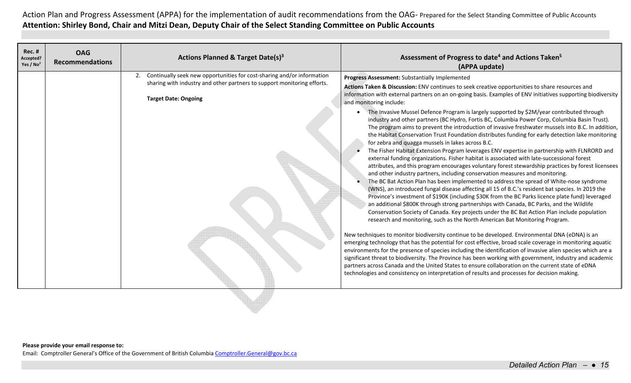| 2. Continually seek new opportunities for cost-sharing and/or information<br>Progress Assessment: Substantially Implemented<br>sharing with industry and other partners to support monitoring efforts.<br>Actions Taken & Discussion: ENV continues to seek creative opportunities to share resources and<br>information with external partners on an on-going basis. Examples of ENV initiatives supporting biodiversity<br><b>Target Date: Ongoing</b><br>and monitoring include:<br>The Invasive Mussel Defence Program is largely supported by \$2M/year contributed through<br>industry and other partners (BC Hydro, Fortis BC, Columbia Power Corp, Columbia Basin Trust).<br>The program aims to prevent the introduction of invasive freshwater mussels into B.C. In addition,<br>the Habitat Conservation Trust Foundation distributes funding for early detection lake monitoring<br>for zebra and quagga mussels in lakes across B.C.<br>The Fisher Habitat Extension Program leverages ENV expertise in partnership with FLNRORD and<br>external funding organizations. Fisher habitat is associated with late-successional forest<br>attributes, and this program encourages voluntary forest stewardship practices by forest licensees<br>and other industry partners, including conservation measures and monitoring.<br>The BC Bat Action Plan has been implemented to address the spread of White-nose syndrome<br>(WNS), an introduced fungal disease affecting all 15 of B.C.'s resident bat species. In 2019 the<br>Province's investment of \$190K (including \$30K from the BC Parks licence plate fund) leveraged<br>an additional \$800K through strong partnerships with Canada, BC Parks, and the Wildlife<br>Conservation Society of Canada. Key projects under the BC Bat Action Plan include population<br>research and monitoring, such as the North American Bat Monitoring Program.<br>New techniques to monitor biodiversity continue to be developed. Environmental DNA (eDNA) is an<br>emerging technology that has the potential for cost effective, broad scale coverage in monitoring aquatic<br>environments for the presence of species including the identification of invasive alien species which are a<br>significant threat to biodiversity. The Province has been working with government, industry and academic<br>partners across Canada and the United States to ensure collaboration on the current state of eDNA<br>technologies and consistency on interpretation of results and processes for decision making. | <b>Rec. #</b><br>Accepted?<br>Yes / $No2$ | <b>OAG</b><br><b>Recommendations</b> | <b>Actions Planned &amp; Target Date(s)3</b> | Assessment of Progress to date <sup>4</sup> and Actions Taken <sup>5</sup><br>(APPA update) |
|----------------------------------------------------------------------------------------------------------------------------------------------------------------------------------------------------------------------------------------------------------------------------------------------------------------------------------------------------------------------------------------------------------------------------------------------------------------------------------------------------------------------------------------------------------------------------------------------------------------------------------------------------------------------------------------------------------------------------------------------------------------------------------------------------------------------------------------------------------------------------------------------------------------------------------------------------------------------------------------------------------------------------------------------------------------------------------------------------------------------------------------------------------------------------------------------------------------------------------------------------------------------------------------------------------------------------------------------------------------------------------------------------------------------------------------------------------------------------------------------------------------------------------------------------------------------------------------------------------------------------------------------------------------------------------------------------------------------------------------------------------------------------------------------------------------------------------------------------------------------------------------------------------------------------------------------------------------------------------------------------------------------------------------------------------------------------------------------------------------------------------------------------------------------------------------------------------------------------------------------------------------------------------------------------------------------------------------------------------------------------------------------------------------------------------------------------------------------------------------------------------------------------------------------------------------------|-------------------------------------------|--------------------------------------|----------------------------------------------|---------------------------------------------------------------------------------------------|
|                                                                                                                                                                                                                                                                                                                                                                                                                                                                                                                                                                                                                                                                                                                                                                                                                                                                                                                                                                                                                                                                                                                                                                                                                                                                                                                                                                                                                                                                                                                                                                                                                                                                                                                                                                                                                                                                                                                                                                                                                                                                                                                                                                                                                                                                                                                                                                                                                                                                                                                                                                      |                                           |                                      |                                              |                                                                                             |